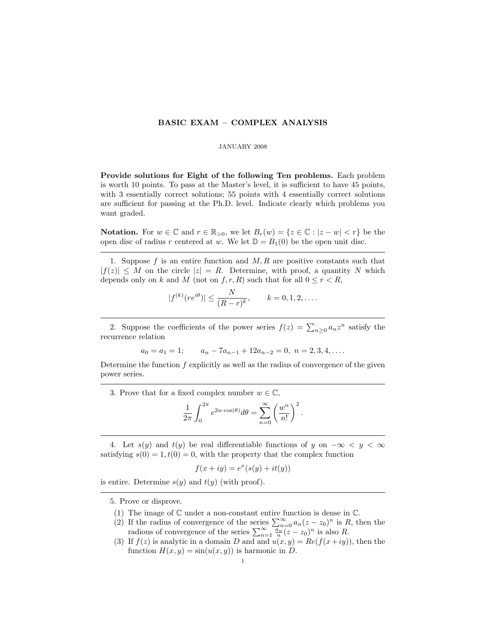## BASIC EXAM – COMPLEX ANALYSIS

## JANUARY 2008

Provide solutions for Eight of the following Ten problems. Each problem is worth 10 points. To pass at the Master's level, it is sufficient to have 45 points, with 3 essentially correct solutions; 55 points with 4 essentially correct solutions are sufficient for passing at the Ph.D. level. Indicate clearly which problems you want graded.

**Notation.** For  $w \in \mathbb{C}$  and  $r \in \mathbb{R}_{>0}$ , we let  $B_r(w) = \{z \in \mathbb{C} : |z - w| < r\}$  be the open disc of radius r centered at w. We let  $\mathbb{D} = B_1(0)$  be the open unit disc.

1. Suppose  $f$  is an entire function and  $M, R$  are positive constants such that  $|f(z)| \leq M$  on the circle  $|z| = R$ . Determine, with proof, a quantity N which depends only on k and M (not on f, r, R) such that for all  $0 \leq r < R$ ,

$$
|f^{(k)}(re^{i\theta})| \leq \frac{N}{(R-r)^k}, \qquad k = 0, 1, 2, ....
$$

2. Suppose the coefficients of the power series  $f(z) = \sum_{n\geq 0} a_n z^n$  satisfy the recurrence relation

$$
a_0 = a_1 = 1; \qquad a_n - 7a_{n-1} + 12a_{n-2} = 0, \ n = 2, 3, 4, \dots
$$

Determine the function  $f$  explicitly as well as the radius of convergence of the given power series.

3. Prove that for a fixed complex number  $w \in \mathbb{C}$ ,

$$
\frac{1}{2\pi} \int_0^{2\pi} e^{2w \cos(\theta)} d\theta = \sum_{n=0}^{\infty} \left( \frac{w^n}{n!} \right)^2.
$$

4. Let  $s(y)$  and  $t(y)$  be real differentiable functions of y on  $-\infty < y < \infty$ satisfying  $s(0) = 1, t(0) = 0$ , with the property that the complex function

$$
f(x + iy) = e^x(s(y) + it(y))
$$

is entire. Determine  $s(y)$  and  $t(y)$  (with proof).

5. Prove or disprove.

- (1) The image of  $\mathbb C$  under a non-constant entire function is dense in  $\mathbb C$ .
- (2) If the radius of convergence of the series  $\sum_{n=0}^{\infty} a_n(z-z_0)^n$  is R, then the radious of convergence of the series  $\sum_{n=1}^{\infty} \frac{a_n}{n} (z - z_0)^n$  is also R.
- (3) If  $f(z)$  is analytic in a domain D and and  $u(x, y) = Re(f(x+iy))$ , then the function  $H(x, y) = \sin(u(x, y))$  is harmonic in D.